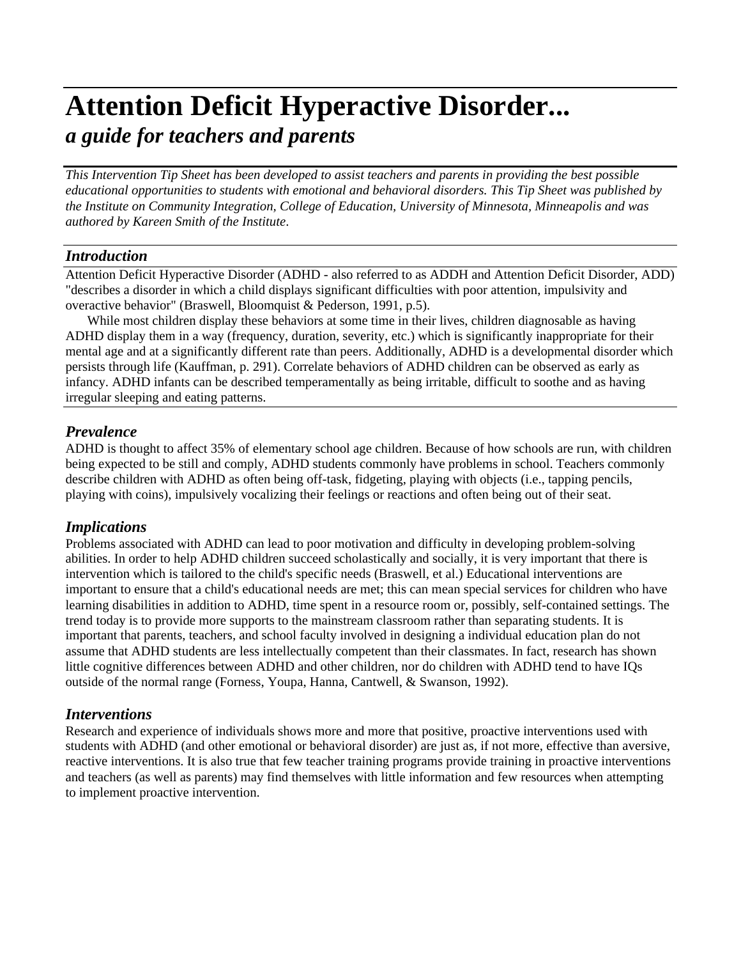# **Attention Deficit Hyperactive Disorder...** *a guide for teachers and parents*

*This Intervention Tip Sheet has been developed to assist teachers and parents in providing the best possible educational opportunities to students with emotional and behavioral disorders. This Tip Sheet was published by the Institute on Community Integration, College of Education, University of Minnesota, Minneapolis and was authored by Kareen Smith of the Institute*.

### *Introduction*

Attention Deficit Hyperactive Disorder (ADHD - also referred to as ADDH and Attention Deficit Disorder, ADD) "describes a disorder in which a child displays significant difficulties with poor attention, impulsivity and overactive behavior" (Braswell, Bloomquist & Pederson, 1991, p.5).

While most children display these behaviors at some time in their lives, children diagnosable as having ADHD display them in a way (frequency, duration, severity, etc.) which is significantly inappropriate for their mental age and at a significantly different rate than peers. Additionally, ADHD is a developmental disorder which persists through life (Kauffman, p. 291). Correlate behaviors of ADHD children can be observed as early as infancy. ADHD infants can be described temperamentally as being irritable, difficult to soothe and as having irregular sleeping and eating patterns.

# *Prevalence*

ADHD is thought to affect 35% of elementary school age children. Because of how schools are run, with children being expected to be still and comply, ADHD students commonly have problems in school. Teachers commonly describe children with ADHD as often being off-task, fidgeting, playing with objects (i.e., tapping pencils, playing with coins), impulsively vocalizing their feelings or reactions and often being out of their seat.

# *Implications*

Problems associated with ADHD can lead to poor motivation and difficulty in developing problem-solving abilities. In order to help ADHD children succeed scholastically and socially, it is very important that there is intervention which is tailored to the child's specific needs (Braswell, et al.) Educational interventions are important to ensure that a child's educational needs are met; this can mean special services for children who have learning disabilities in addition to ADHD, time spent in a resource room or, possibly, self-contained settings. The trend today is to provide more supports to the mainstream classroom rather than separating students. It is important that parents, teachers, and school faculty involved in designing a individual education plan do not assume that ADHD students are less intellectually competent than their classmates. In fact, research has shown little cognitive differences between ADHD and other children, nor do children with ADHD tend to have IQs outside of the normal range (Forness, Youpa, Hanna, Cantwell, & Swanson, 1992).

# *Interventions*

Research and experience of individuals shows more and more that positive, proactive interventions used with students with ADHD (and other emotional or behavioral disorder) are just as, if not more, effective than aversive, reactive interventions. It is also true that few teacher training programs provide training in proactive interventions and teachers (as well as parents) may find themselves with little information and few resources when attempting to implement proactive intervention.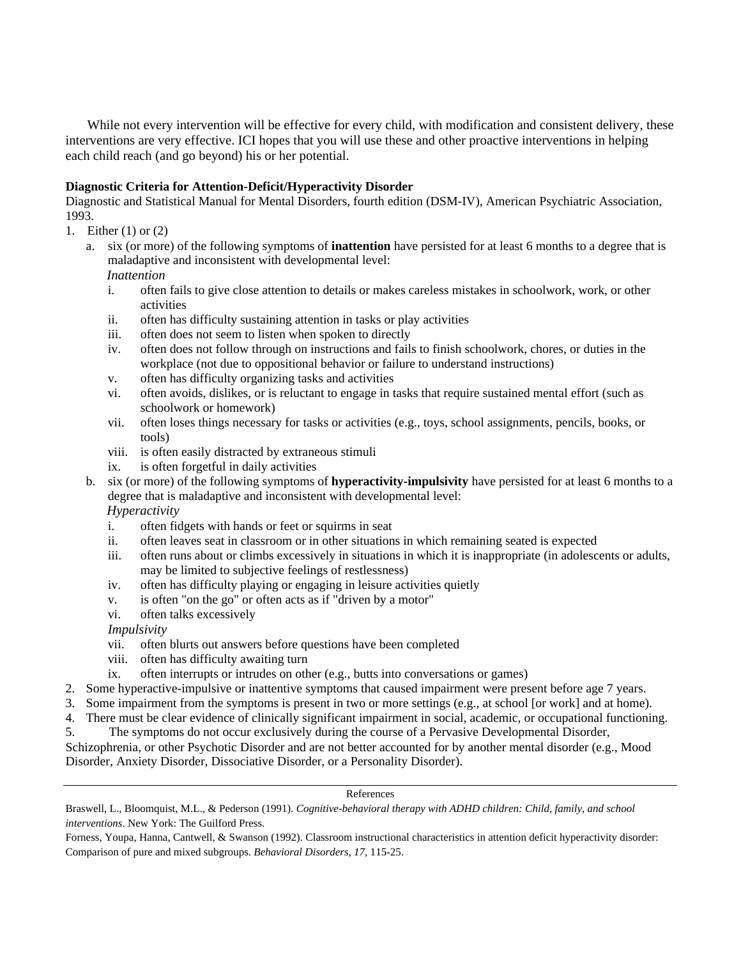While not every intervention will be effective for every child, with modification and consistent delivery, these interventions are very effective. ICI hopes that you will use these and other proactive interventions in helping each child reach (and go beyond) his or her potential.

#### **Diagnostic Criteria for Attention-Deficit/Hyperactivity Disorder**

Diagnostic and Statistical Manual for Mental Disorders, fourth edition (DSM-IV), American Psychiatric Association, 1993.

- 1. Either (1) or (2)
	- a. six (or more) of the following symptoms of **inattention** have persisted for at least 6 months to a degree that is maladaptive and inconsistent with developmental level:

*Inattention*

- i. often fails to give close attention to details or makes careless mistakes in schoolwork, work, or other activities
- ii. often has difficulty sustaining attention in tasks or play activities
- iii. often does not seem to listen when spoken to directly
- iv. often does not follow through on instructions and fails to finish schoolwork, chores, or duties in the workplace (not due to oppositional behavior or failure to understand instructions)
- v. often has difficulty organizing tasks and activities
- vi. often avoids, dislikes, or is reluctant to engage in tasks that require sustained mental effort (such as schoolwork or homework)
- vii. often loses things necessary for tasks or activities (e.g., toys, school assignments, pencils, books, or tools)
- viii. is often easily distracted by extraneous stimuli
- ix. is often forgetful in daily activities
- b. six (or more) of the following symptoms of **hyperactivity-impulsivity** have persisted for at least 6 months to a degree that is maladaptive and inconsistent with developmental level:

*Hyperactivity*

- i. often fidgets with hands or feet or squirms in seat
- ii. often leaves seat in classroom or in other situations in which remaining seated is expected
- iii. often runs about or climbs excessively in situations in which it is inappropriate (in adolescents or adults, may be limited to subjective feelings of restlessness)
- iv. often has difficulty playing or engaging in leisure activities quietly
- v. is often "on the go" or often acts as if "driven by a motor"
- vi. often talks excessively

#### *Impulsivity*

- vii. often blurts out answers before questions have been completed
- viii. often has difficulty awaiting turn
- ix. often interrupts or intrudes on other (e.g., butts into conversations or games)
- 2. Some hyperactive-impulsive or inattentive symptoms that caused impairment were present before age 7 years.
- 3. Some impairment from the symptoms is present in two or more settings (e.g., at school [or work] and at home).
- 4. There must be clear evidence of clinically significant impairment in social, academic, or occupational functioning.
- 5. The symptoms do not occur exclusively during the course of a Pervasive Developmental Disorder,

Schizophrenia, or other Psychotic Disorder and are not better accounted for by another mental disorder (e.g., Mood Disorder, Anxiety Disorder, Dissociative Disorder, or a Personality Disorder).

#### References

Braswell, L., Bloomquist, M.L., & Pederson (1991). *Cognitive-behavioral therapy with ADHD children: Child, family, and school interventions*. New York: The Guilford Press.

Forness, Youpa, Hanna, Cantwell, & Swanson (1992). Classroom instructional characteristics in attention deficit hyperactivity disorder: Comparison of pure and mixed subgroups. *Behavioral Disorders, 17,* 115-25.